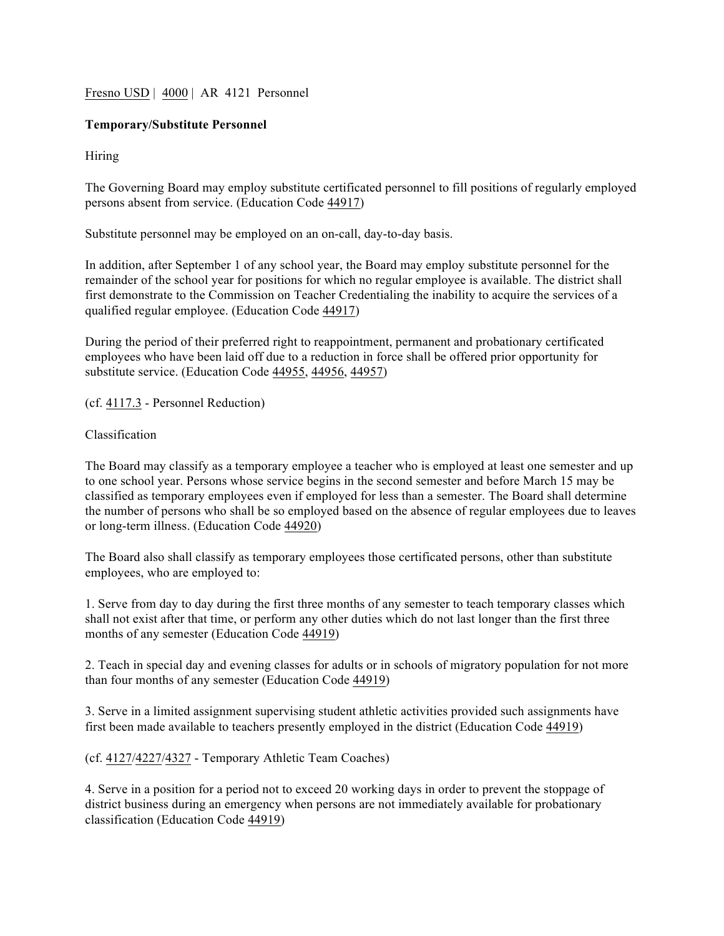Fresno USD | 4000 | AR 4121 Personnel

# **Temporary/Substitute Personnel**

Hiring

The Governing Board may employ substitute certificated personnel to fill positions of regularly employed persons absent from service. (Education Code 44917)

Substitute personnel may be employed on an on-call, day-to-day basis.

In addition, after September 1 of any school year, the Board may employ substitute personnel for the remainder of the school year for positions for which no regular employee is available. The district shall first demonstrate to the Commission on Teacher Credentialing the inability to acquire the services of a qualified regular employee. (Education Code 44917)

During the period of their preferred right to reappointment, permanent and probationary certificated employees who have been laid off due to a reduction in force shall be offered prior opportunity for substitute service. (Education Code 44955, 44956, 44957)

(cf. 4117.3 - Personnel Reduction)

Classification

The Board may classify as a temporary employee a teacher who is employed at least one semester and up to one school year. Persons whose service begins in the second semester and before March 15 may be classified as temporary employees even if employed for less than a semester. The Board shall determine the number of persons who shall be so employed based on the absence of regular employees due to leaves or long-term illness. (Education Code 44920)

The Board also shall classify as temporary employees those certificated persons, other than substitute employees, who are employed to:

1. Serve from day to day during the first three months of any semester to teach temporary classes which shall not exist after that time, or perform any other duties which do not last longer than the first three months of any semester (Education Code 44919)

2. Teach in special day and evening classes for adults or in schools of migratory population for not more than four months of any semester (Education Code 44919)

3. Serve in a limited assignment supervising student athletic activities provided such assignments have first been made available to teachers presently employed in the district (Education Code 44919)

(cf. 4127/4227/4327 - Temporary Athletic Team Coaches)

4. Serve in a position for a period not to exceed 20 working days in order to prevent the stoppage of district business during an emergency when persons are not immediately available for probationary classification (Education Code 44919)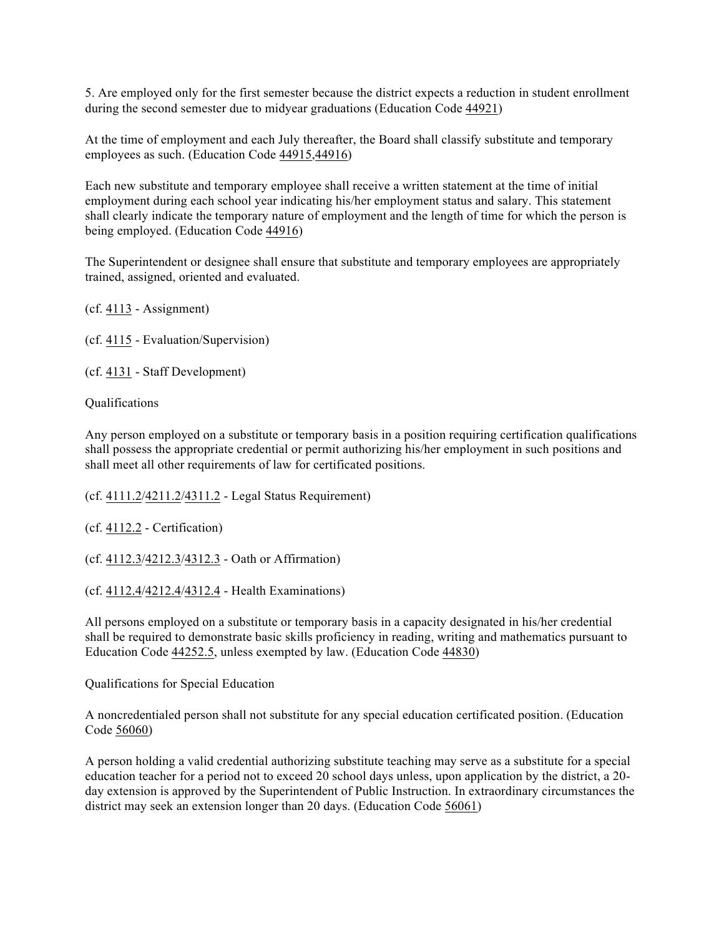5. Are employed only for the first semester because the district expects a reduction in student enrollment during the second semester due to midyear graduations (Education Code 44921)

At the time of employment and each July thereafter, the Board shall classify substitute and temporary employees as such. (Education Code 44915,44916)

Each new substitute and temporary employee shall receive a written statement at the time of initial employment during each school year indicating his/her employment status and salary. This statement shall clearly indicate the temporary nature of employment and the length of time for which the person is being employed. (Education Code 44916)

The Superintendent or designee shall ensure that substitute and temporary employees are appropriately trained, assigned, oriented and evaluated.

(cf. 4113 - Assignment)

(cf. 4115 - Evaluation/Supervision)

(cf. 4131 - Staff Development)

Qualifications

Any person employed on a substitute or temporary basis in a position requiring certification qualifications shall possess the appropriate credential or permit authorizing his/her employment in such positions and shall meet all other requirements of law for certificated positions.

(cf. 4111.2/4211.2/4311.2 - Legal Status Requirement)

(cf. 4112.2 - Certification)

(cf. 4112.3/4212.3/4312.3 - Oath or Affirmation)

(cf. 4112.4/4212.4/4312.4 - Health Examinations)

All persons employed on a substitute or temporary basis in a capacity designated in his/her credential shall be required to demonstrate basic skills proficiency in reading, writing and mathematics pursuant to Education Code 44252.5, unless exempted by law. (Education Code 44830)

Qualifications for Special Education

A noncredentialed person shall not substitute for any special education certificated position. (Education Code 56060)

A person holding a valid credential authorizing substitute teaching may serve as a substitute for a special education teacher for a period not to exceed 20 school days unless, upon application by the district, a 20 day extension is approved by the Superintendent of Public Instruction. In extraordinary circumstances the district may seek an extension longer than 20 days. (Education Code 56061)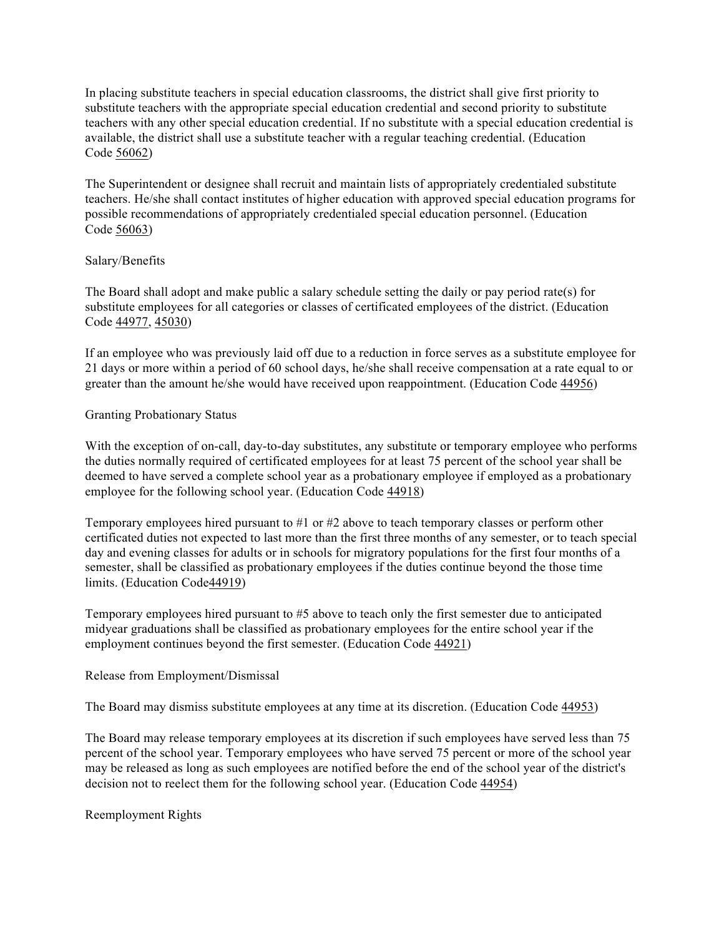In placing substitute teachers in special education classrooms, the district shall give first priority to substitute teachers with the appropriate special education credential and second priority to substitute teachers with any other special education credential. If no substitute with a special education credential is available, the district shall use a substitute teacher with a regular teaching credential. (Education Code 56062)

The Superintendent or designee shall recruit and maintain lists of appropriately credentialed substitute teachers. He/she shall contact institutes of higher education with approved special education programs for possible recommendations of appropriately credentialed special education personnel. (Education Code 56063)

### Salary/Benefits

The Board shall adopt and make public a salary schedule setting the daily or pay period rate(s) for substitute employees for all categories or classes of certificated employees of the district. (Education Code 44977, 45030)

If an employee who was previously laid off due to a reduction in force serves as a substitute employee for 21 days or more within a period of 60 school days, he/she shall receive compensation at a rate equal to or greater than the amount he/she would have received upon reappointment. (Education Code 44956)

### Granting Probationary Status

With the exception of on-call, day-to-day substitutes, any substitute or temporary employee who performs the duties normally required of certificated employees for at least 75 percent of the school year shall be deemed to have served a complete school year as a probationary employee if employed as a probationary employee for the following school year. (Education Code 44918)

Temporary employees hired pursuant to #1 or #2 above to teach temporary classes or perform other certificated duties not expected to last more than the first three months of any semester, or to teach special day and evening classes for adults or in schools for migratory populations for the first four months of a semester, shall be classified as probationary employees if the duties continue beyond the those time limits. (Education Code44919)

Temporary employees hired pursuant to #5 above to teach only the first semester due to anticipated midyear graduations shall be classified as probationary employees for the entire school year if the employment continues beyond the first semester. (Education Code 44921)

### Release from Employment/Dismissal

The Board may dismiss substitute employees at any time at its discretion. (Education Code 44953)

The Board may release temporary employees at its discretion if such employees have served less than 75 percent of the school year. Temporary employees who have served 75 percent or more of the school year may be released as long as such employees are notified before the end of the school year of the district's decision not to reelect them for the following school year. (Education Code 44954)

Reemployment Rights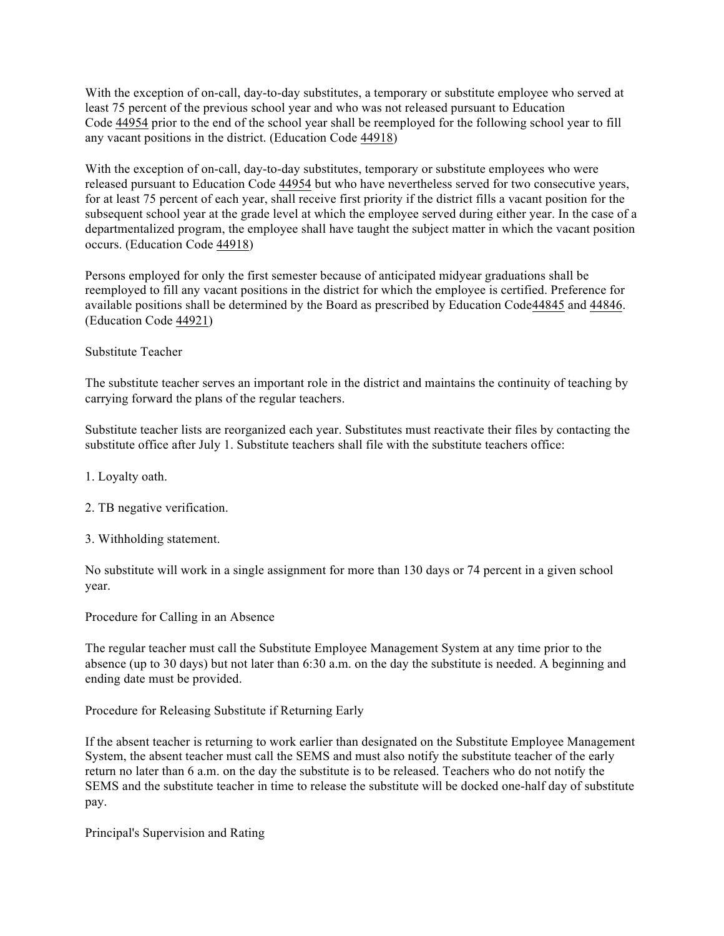With the exception of on-call, day-to-day substitutes, a temporary or substitute employee who served at least 75 percent of the previous school year and who was not released pursuant to Education Code 44954 prior to the end of the school year shall be reemployed for the following school year to fill any vacant positions in the district. (Education Code 44918)

With the exception of on-call, day-to-day substitutes, temporary or substitute employees who were released pursuant to Education Code 44954 but who have nevertheless served for two consecutive years, for at least 75 percent of each year, shall receive first priority if the district fills a vacant position for the subsequent school year at the grade level at which the employee served during either year. In the case of a departmentalized program, the employee shall have taught the subject matter in which the vacant position occurs. (Education Code 44918)

Persons employed for only the first semester because of anticipated midyear graduations shall be reemployed to fill any vacant positions in the district for which the employee is certified. Preference for available positions shall be determined by the Board as prescribed by Education Code44845 and 44846. (Education Code 44921)

## Substitute Teacher

The substitute teacher serves an important role in the district and maintains the continuity of teaching by carrying forward the plans of the regular teachers.

Substitute teacher lists are reorganized each year. Substitutes must reactivate their files by contacting the substitute office after July 1. Substitute teachers shall file with the substitute teachers office:

- 1. Loyalty oath.
- 2. TB negative verification.
- 3. Withholding statement.

No substitute will work in a single assignment for more than 130 days or 74 percent in a given school year.

Procedure for Calling in an Absence

The regular teacher must call the Substitute Employee Management System at any time prior to the absence (up to 30 days) but not later than 6:30 a.m. on the day the substitute is needed. A beginning and ending date must be provided.

Procedure for Releasing Substitute if Returning Early

If the absent teacher is returning to work earlier than designated on the Substitute Employee Management System, the absent teacher must call the SEMS and must also notify the substitute teacher of the early return no later than 6 a.m. on the day the substitute is to be released. Teachers who do not notify the SEMS and the substitute teacher in time to release the substitute will be docked one-half day of substitute pay.

Principal's Supervision and Rating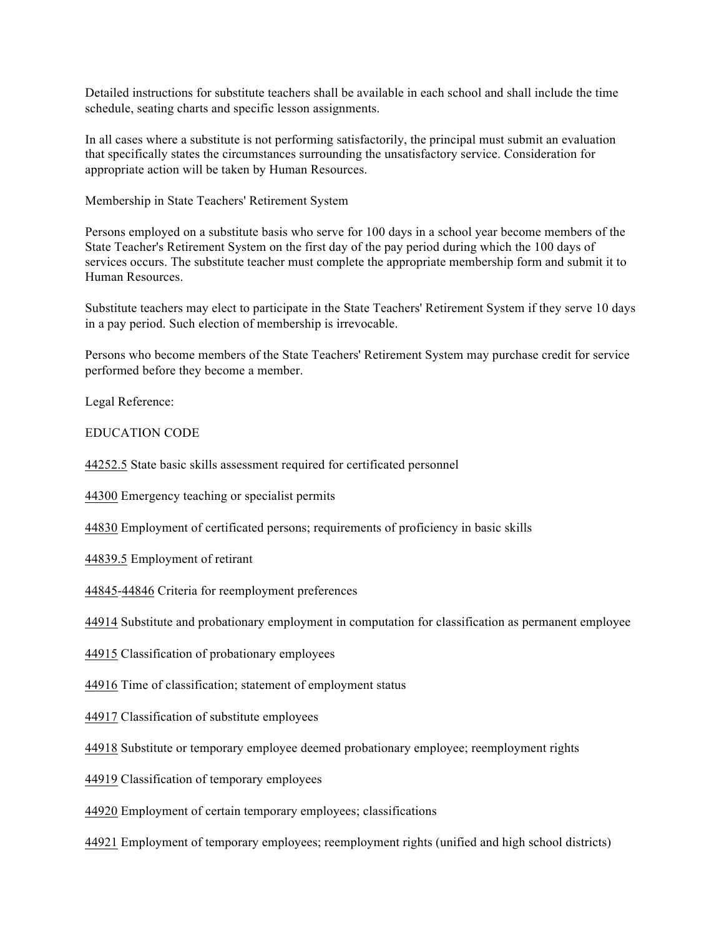Detailed instructions for substitute teachers shall be available in each school and shall include the time schedule, seating charts and specific lesson assignments.

In all cases where a substitute is not performing satisfactorily, the principal must submit an evaluation that specifically states the circumstances surrounding the unsatisfactory service. Consideration for appropriate action will be taken by Human Resources.

Membership in State Teachers' Retirement System

Persons employed on a substitute basis who serve for 100 days in a school year become members of the State Teacher's Retirement System on the first day of the pay period during which the 100 days of services occurs. The substitute teacher must complete the appropriate membership form and submit it to Human Resources.

Substitute teachers may elect to participate in the State Teachers' Retirement System if they serve 10 days in a pay period. Such election of membership is irrevocable.

Persons who become members of the State Teachers' Retirement System may purchase credit for service performed before they become a member.

Legal Reference:

EDUCATION CODE

44252.5 State basic skills assessment required for certificated personnel

44300 Emergency teaching or specialist permits

44830 Employment of certificated persons; requirements of proficiency in basic skills

44839.5 Employment of retirant

44845-44846 Criteria for reemployment preferences

44914 Substitute and probationary employment in computation for classification as permanent employee

44915 Classification of probationary employees

44916 Time of classification; statement of employment status

44917 Classification of substitute employees

44918 Substitute or temporary employee deemed probationary employee; reemployment rights

44919 Classification of temporary employees

44920 Employment of certain temporary employees; classifications

44921 Employment of temporary employees; reemployment rights (unified and high school districts)